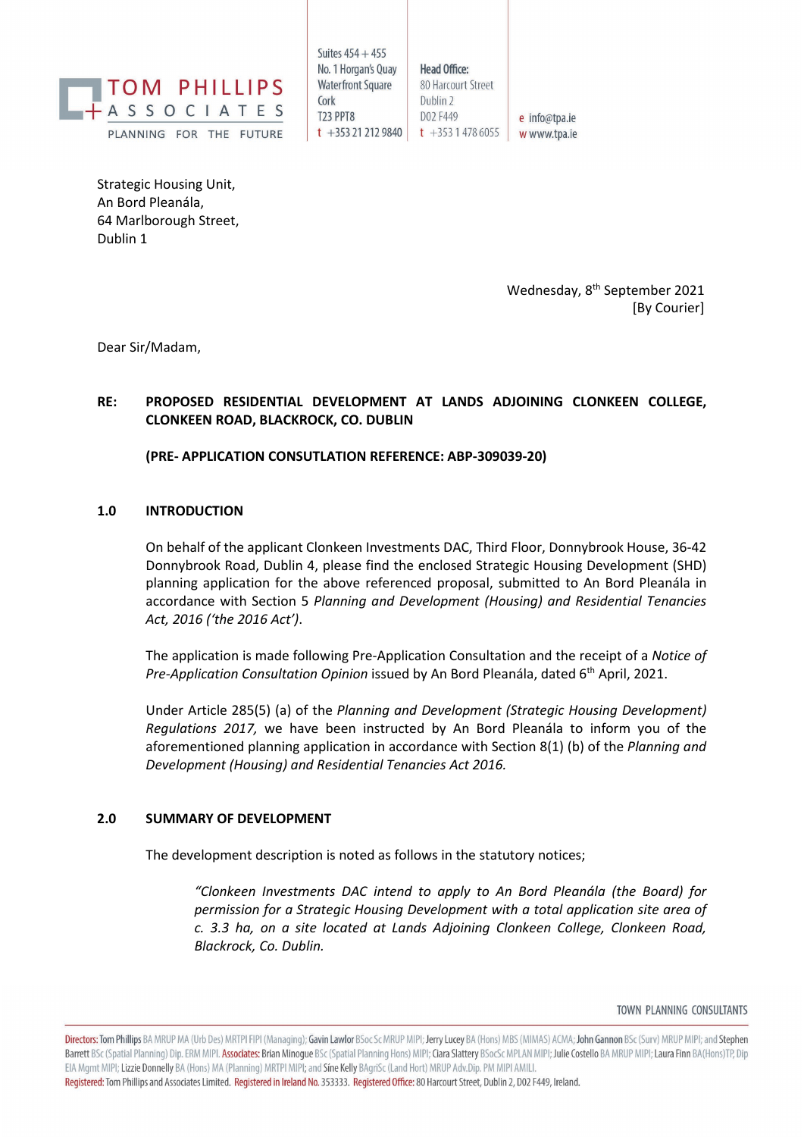

Suites  $454 + 455$ No. 1 Horgan's Ouav **Waterfront Square** Cork **T23 PPT8**  $t + 353212129840$   $t + 35314786055$ 

**Head Office:** 80 Harcourt Street Dublin 2 D02 F449 e info@tpa.ie w www.tpa.ie

Strategic Housing Unit, An Bord Pleanála, 64 Marlborough Street, Dublin 1

> Wednesday, 8<sup>th</sup> September 2021 [By Courier]

Dear Sir/Madam,

## **RE: PROPOSED RESIDENTIAL DEVELOPMENT AT LANDS ADJOINING CLONKEEN COLLEGE, CLONKEEN ROAD, BLACKROCK, CO. DUBLIN**

**(PRE- APPLICATION CONSUTLATION REFERENCE: ABP-309039-20)** 

## **1.0 INTRODUCTION**

On behalf of the applicant Clonkeen Investments DAC, Third Floor, Donnybrook House, 36-42 Donnybrook Road, Dublin 4, please find the enclosed Strategic Housing Development (SHD) planning application for the above referenced proposal, submitted to An Bord Pleanála in accordance with Section 5 *Planning and Development (Housing) and Residential Tenancies Act, 2016 ('the 2016 Act')*.

The application is made following Pre-Application Consultation and the receipt of a *Notice of Pre-Application Consultation Opinion* issued by An Bord Pleanála, dated 6th April, 2021.

Under Article 285(5) (a) of the *Planning and Development (Strategic Housing Development) Regulations 2017,* we have been instructed by An Bord Pleanála to inform you of the aforementioned planning application in accordance with Section 8(1) (b) of the *Planning and Development (Housing) and Residential Tenancies Act 2016.*

## **2.0 SUMMARY OF DEVELOPMENT**

The development description is noted as follows in the statutory notices;

*"Clonkeen Investments DAC intend to apply to An Bord Pleanála (the Board) for permission for a Strategic Housing Development with a total application site area of c. 3.3 ha, on a site located at Lands Adjoining Clonkeen College, Clonkeen Road, Blackrock, Co. Dublin.*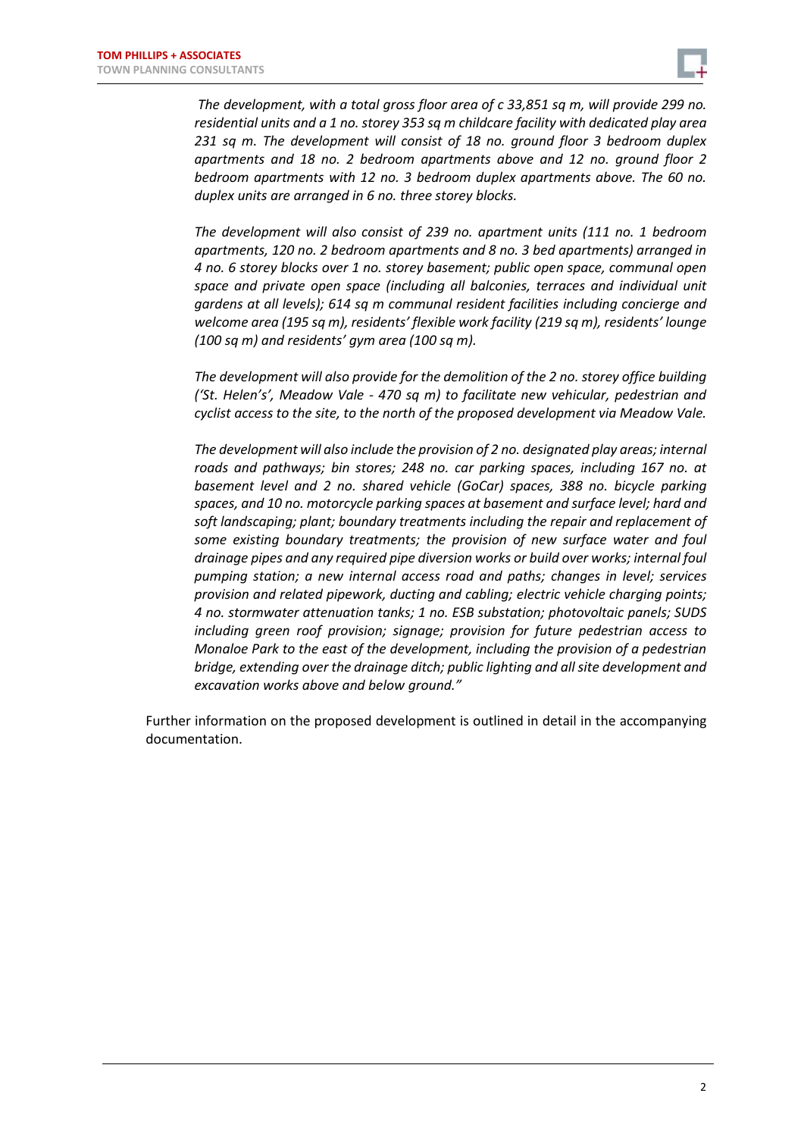

*The development, with a total gross floor area of c 33,851 sq m, will provide 299 no. residential units and a 1 no. storey 353 sq m childcare facility with dedicated play area 231 sq m. The development will consist of 18 no. ground floor 3 bedroom duplex apartments and 18 no. 2 bedroom apartments above and 12 no. ground floor 2 bedroom apartments with 12 no. 3 bedroom duplex apartments above. The 60 no. duplex units are arranged in 6 no. three storey blocks.* 

*The development will also consist of 239 no. apartment units (111 no. 1 bedroom apartments, 120 no. 2 bedroom apartments and 8 no. 3 bed apartments) arranged in 4 no. 6 storey blocks over 1 no. storey basement; public open space, communal open space and private open space (including all balconies, terraces and individual unit gardens at all levels); 614 sq m communal resident facilities including concierge and welcome area (195 sq m), residents' flexible work facility (219 sq m), residents' lounge (100 sq m) and residents' gym area (100 sq m).*

*The development will also provide for the demolition of the 2 no. storey office building ('St. Helen's', Meadow Vale - 470 sq m) to facilitate new vehicular, pedestrian and cyclist access to the site, to the north of the proposed development via Meadow Vale.*

*The development will also include the provision of 2 no. designated play areas; internal roads and pathways; bin stores; 248 no. car parking spaces, including 167 no. at basement level and 2 no. shared vehicle (GoCar) spaces, 388 no. bicycle parking spaces, and 10 no. motorcycle parking spaces at basement and surface level; hard and soft landscaping; plant; boundary treatments including the repair and replacement of some existing boundary treatments; the provision of new surface water and foul drainage pipes and any required pipe diversion works or build over works; internal foul pumping station; a new internal access road and paths; changes in level; services provision and related pipework, ducting and cabling; electric vehicle charging points; 4 no. stormwater attenuation tanks; 1 no. ESB substation; photovoltaic panels; SUDS including green roof provision; signage; provision for future pedestrian access to Monaloe Park to the east of the development, including the provision of a pedestrian bridge, extending over the drainage ditch; public lighting and all site development and excavation works above and below ground."*

Further information on the proposed development is outlined in detail in the accompanying documentation.